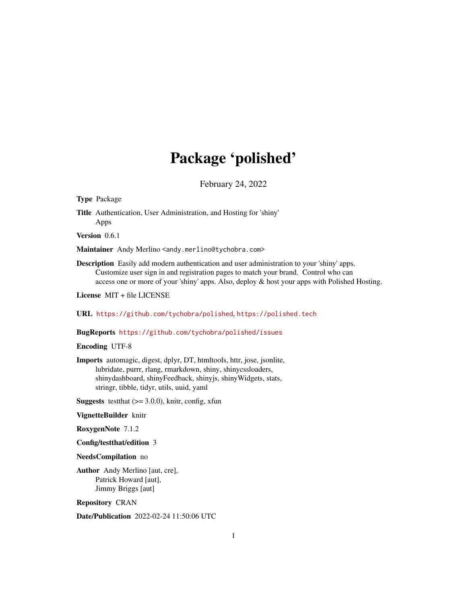# Package 'polished'

February 24, 2022

#### Type Package

Title Authentication, User Administration, and Hosting for 'shiny' Apps

Version 0.6.1

Maintainer Andy Merlino <andy.merlino@tychobra.com>

Description Easily add modern authentication and user administration to your 'shiny' apps. Customize user sign in and registration pages to match your brand. Control who can access one or more of your 'shiny' apps. Also, deploy & host your apps with Polished Hosting.

License MIT + file LICENSE

URL <https://github.com/tychobra/polished>, <https://polished.tech>

### BugReports <https://github.com/tychobra/polished/issues>

#### Encoding UTF-8

Imports automagic, digest, dplyr, DT, htmltools, httr, jose, jsonlite, lubridate, purrr, rlang, rmarkdown, shiny, shinycssloaders, shinydashboard, shinyFeedback, shinyjs, shinyWidgets, stats, stringr, tibble, tidyr, utils, uuid, yaml

**Suggests** test that  $(>= 3.0.0)$ , knitr, config, xfun

### VignetteBuilder knitr

RoxygenNote 7.1.2

#### Config/testthat/edition 3

#### NeedsCompilation no

Author Andy Merlino [aut, cre], Patrick Howard [aut], Jimmy Briggs [aut]

Repository CRAN

Date/Publication 2022-02-24 11:50:06 UTC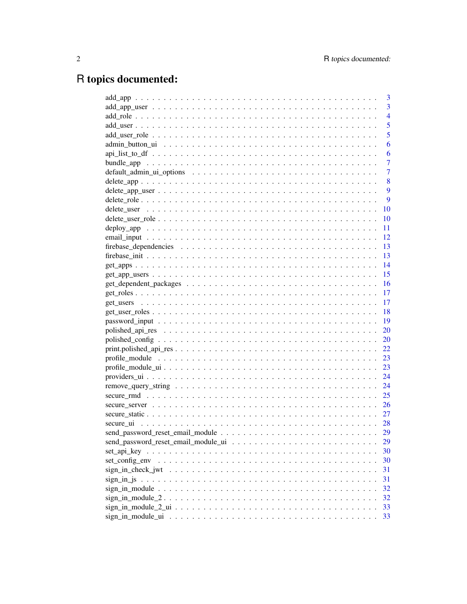# R topics documented:

|                | 3              |
|----------------|----------------|
|                | 3              |
|                | $\overline{4}$ |
|                | 5              |
|                | 5              |
|                | 6              |
|                | 6              |
|                | 7              |
|                | $\overline{7}$ |
|                | 8              |
|                | 9              |
|                | 9              |
|                | 10             |
|                | 10             |
|                | 11             |
|                | 12             |
|                | 13             |
|                | 13             |
|                | 14             |
|                | 15             |
|                | 16             |
|                | 17             |
|                | 17             |
|                | 18             |
|                | 19             |
|                | <b>20</b>      |
|                | <b>20</b>      |
|                | 22             |
|                | 23             |
|                | 23             |
|                | 24             |
|                | 24             |
|                | 25             |
|                | 26             |
|                | 27             |
|                |                |
|                | 29             |
|                | 29             |
|                | 30             |
| set_config_env | 30             |
|                | 31             |
|                | 31             |
|                | 32             |
|                | 32             |
|                | 33             |
|                | 33             |
|                |                |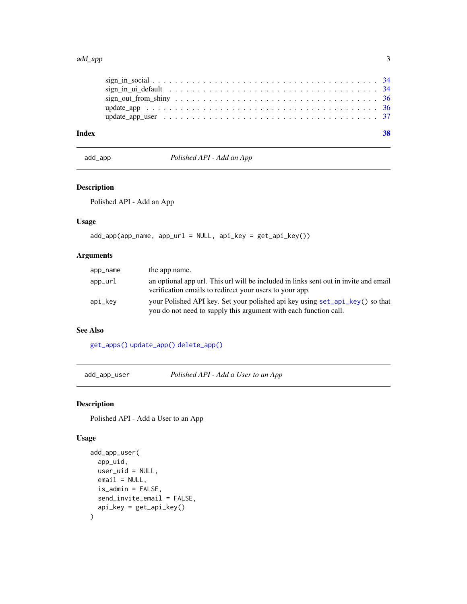#### <span id="page-2-0"></span>add\_app 3

| Index |                                                                                                                 |  |
|-------|-----------------------------------------------------------------------------------------------------------------|--|
|       |                                                                                                                 |  |
|       |                                                                                                                 |  |
|       |                                                                                                                 |  |
|       | sign in ui default $\ldots \ldots \ldots \ldots \ldots \ldots \ldots \ldots \ldots \ldots \ldots \ldots \ldots$ |  |
|       |                                                                                                                 |  |

### add\_app *Polished API - Add an App*

### Description

Polished API - Add an App

### Usage

```
add_app(app_name, app_url = NULL, api_key = get_api_key())
```
### Arguments

| app_name | the app name.                                                                                                                                    |
|----------|--------------------------------------------------------------------------------------------------------------------------------------------------|
| app_url  | an optional app url. This url will be included in links sent out in invite and email<br>verification emails to redirect your users to your app.  |
| api_kev  | your Polished API key. Set your polished api key using set_api_key() so that<br>you do not need to supply this argument with each function call. |

#### See Also

[get\\_apps\(\)](#page-13-1) [update\\_app\(\)](#page-35-1) [delete\\_app\(\)](#page-7-1)

<span id="page-2-2"></span>add\_app\_user *Polished API - Add a User to an App*

### Description

Polished API - Add a User to an App

### Usage

```
add_app_user(
  app_uid,
 user_uid = NULL,
 email = NULL,is_admin = FALSE,
 send_invite_email = FALSE,
  api_key = get_api_key()
\mathcal{L}
```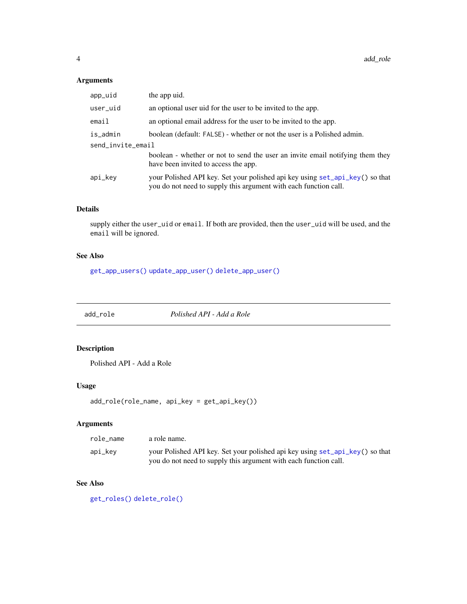### <span id="page-3-0"></span>Arguments

| app_uid           | the app uid.                                                                                                                                     |
|-------------------|--------------------------------------------------------------------------------------------------------------------------------------------------|
| user_uid          | an optional user uid for the user to be invited to the app.                                                                                      |
| email             | an optional email address for the user to be invited to the app.                                                                                 |
| is_admin          | boolean (default: FALSE) - whether or not the user is a Polished admin.                                                                          |
| send_invite_email |                                                                                                                                                  |
|                   | boolean - whether or not to send the user an invite email notifying them they<br>have been invited to access the app.                            |
| api_key           | your Polished API key. Set your polished api key using set_api_key() so that<br>you do not need to supply this argument with each function call. |

### Details

supply either the user\_uid or email. If both are provided, then the user\_uid will be used, and the email will be ignored.

### See Also

[get\\_app\\_users\(\)](#page-14-1) [update\\_app\\_user\(\)](#page-36-1) [delete\\_app\\_user\(\)](#page-8-1)

<span id="page-3-1"></span>add\_role *Polished API - Add a Role*

### Description

Polished API - Add a Role

### Usage

```
add_role(role_name, api_key = get_api_key())
```
### Arguments

| role name | a role name.                                                                 |
|-----------|------------------------------------------------------------------------------|
| api_kev   | your Polished API key. Set your polished api key using set_api_key() so that |
|           | you do not need to supply this argument with each function call.             |

### See Also

[get\\_roles\(\)](#page-16-1) [delete\\_role\(\)](#page-8-2)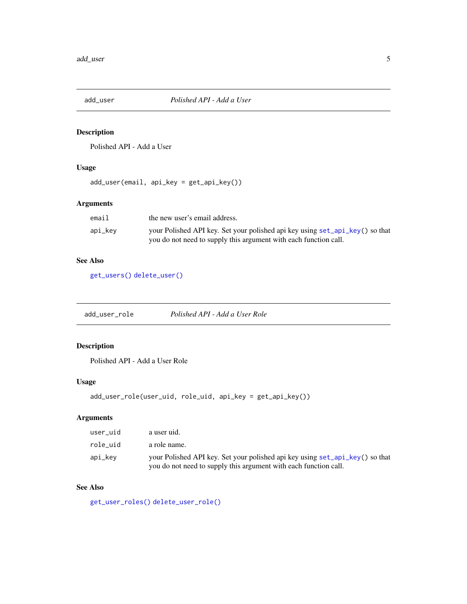<span id="page-4-1"></span><span id="page-4-0"></span>

Polished API - Add a User

### Usage

add\_user(email, api\_key = get\_api\_key())

### Arguments

| email   | the new user's email address.                                                |
|---------|------------------------------------------------------------------------------|
| api_kev | your Polished API key. Set your polished api key using set_api_key() so that |
|         | you do not need to supply this argument with each function call.             |

### See Also

[get\\_users\(\)](#page-16-2) [delete\\_user\(\)](#page-9-1)

<span id="page-4-2"></span>add\_user\_role *Polished API - Add a User Role*

### Description

Polished API - Add a User Role

### Usage

```
add_user_role(user_uid, role_uid, api_key = get_api_key())
```
### Arguments

| user uid | a user uid.                                                                                                                                      |
|----------|--------------------------------------------------------------------------------------------------------------------------------------------------|
| role uid | a role name.                                                                                                                                     |
| api_kev  | your Polished API key. Set your polished api key using set_api_key() so that<br>you do not need to supply this argument with each function call. |

## See Also

[get\\_user\\_roles\(\)](#page-17-1) [delete\\_user\\_role\(\)](#page-9-2)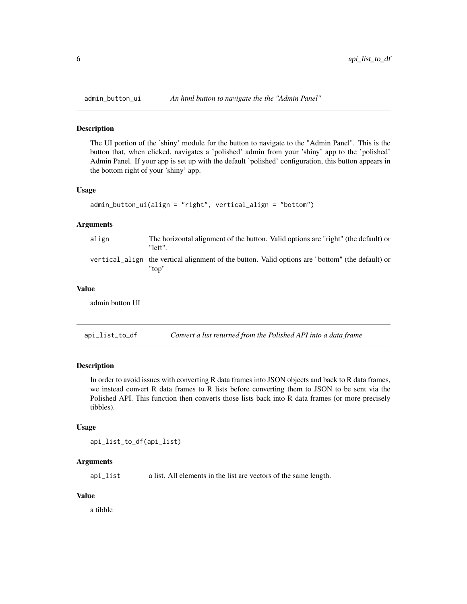<span id="page-5-0"></span>

The UI portion of the 'shiny' module for the button to navigate to the "Admin Panel". This is the button that, when clicked, navigates a 'polished' admin from your 'shiny' app to the 'polished' Admin Panel. If your app is set up with the default 'polished' configuration, this button appears in the bottom right of your 'shiny' app.

#### Usage

```
admin_button_ui(align = "right", vertical_align = "bottom")
```
#### Arguments

| align | The horizontal alignment of the button. Valid options are "right" (the default) or<br>"left".             |
|-------|-----------------------------------------------------------------------------------------------------------|
|       | vertical align the vertical alignment of the button. Valid options are "bottom" (the default) or<br>"ton" |

### Value

admin button UI

api\_list\_to\_df *Convert a list returned from the Polished API into a data frame*

#### Description

In order to avoid issues with converting R data frames into JSON objects and back to R data frames, we instead convert R data frames to R lists before converting them to JSON to be sent via the Polished API. This function then converts those lists back into R data frames (or more precisely tibbles).

### Usage

```
api_list_to_df(api_list)
```
### Arguments

api\_list a list. All elements in the list are vectors of the same length.

### Value

a tibble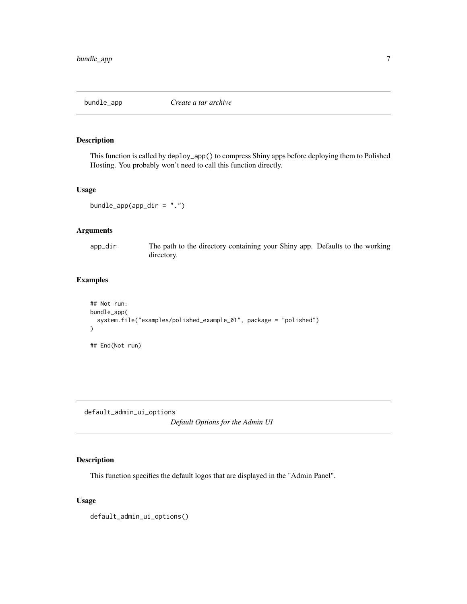<span id="page-6-0"></span>

This function is called by deploy\_app() to compress Shiny apps before deploying them to Polished Hosting. You probably won't need to call this function directly.

#### Usage

```
bundle_app(app_dir = ".")
```
### Arguments

app\_dir The path to the directory containing your Shiny app. Defaults to the working directory.

#### Examples

```
## Not run:
bundle_app(
  system.file("examples/polished_example_01", package = "polished")
\mathcal{L}## End(Not run)
```
<span id="page-6-1"></span>default\_admin\_ui\_options

*Default Options for the Admin UI*

### Description

This function specifies the default logos that are displayed in the "Admin Panel".

### Usage

default\_admin\_ui\_options()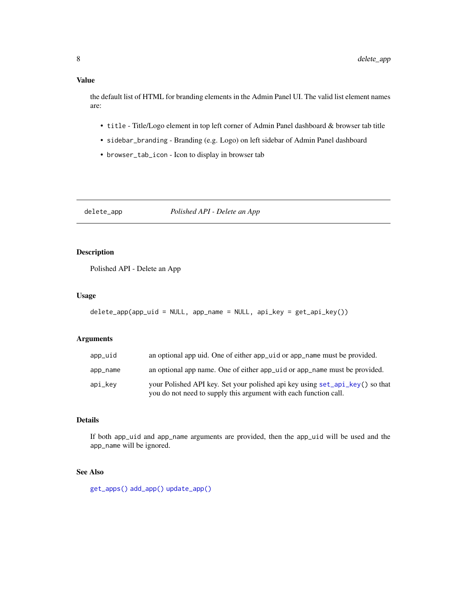### <span id="page-7-0"></span>Value

the default list of HTML for branding elements in the Admin Panel UI. The valid list element names are:

- title Title/Logo element in top left corner of Admin Panel dashboard & browser tab title
- sidebar\_branding Branding (e.g. Logo) on left sidebar of Admin Panel dashboard
- browser\_tab\_icon Icon to display in browser tab

<span id="page-7-1"></span>delete\_app *Polished API - Delete an App*

### Description

Polished API - Delete an App

### Usage

```
delete\_app(apq_luid = NULL, app_name = NULL, api\_key = get\_api\_key())
```
### Arguments

| app_uid  | an optional app uid. One of either app uid or app name must be provided.                                                                         |
|----------|--------------------------------------------------------------------------------------------------------------------------------------------------|
| app_name | an optional app name. One of either app_uid or app_name must be provided.                                                                        |
| api_kev  | your Polished API key. Set your polished api key using set_api_key() so that<br>you do not need to supply this argument with each function call. |

### Details

If both app\_uid and app\_name arguments are provided, then the app\_uid will be used and the app\_name will be ignored.

### See Also

[get\\_apps\(\)](#page-13-1) [add\\_app\(\)](#page-2-1) [update\\_app\(\)](#page-35-1)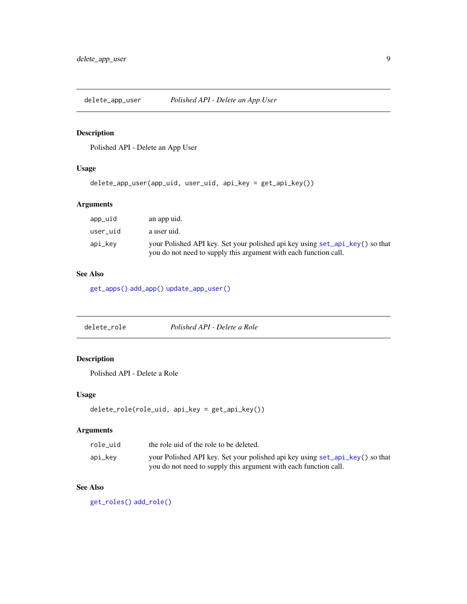<span id="page-8-1"></span><span id="page-8-0"></span>delete\_app\_user *Polished API - Delete an App User*

### Description

Polished API - Delete an App User

### Usage

```
delete_app_user(app_uid, user_uid, api_key = get_api_key())
```
### Arguments

| app_uid  | an app uid.                                                                                                                                      |
|----------|--------------------------------------------------------------------------------------------------------------------------------------------------|
| user uid | a user uid.                                                                                                                                      |
| api_kev  | your Polished API key. Set your polished api key using set_api_key() so that<br>you do not need to supply this argument with each function call. |

### See Also

[get\\_apps\(\)](#page-13-1) [add\\_app\(\)](#page-2-1) [update\\_app\\_user\(\)](#page-36-1)

<span id="page-8-2"></span>

| Polished API - Delete a Role<br>delete_role |
|---------------------------------------------|
|---------------------------------------------|

### Description

Polished API - Delete a Role

### Usage

```
delete_role(role_uid, api_key = get_api_key())
```
### Arguments

| role uid | the role uid of the role to be deleted.                                                                                                          |
|----------|--------------------------------------------------------------------------------------------------------------------------------------------------|
| api_kev  | your Polished API key. Set your polished api key using set_api_key() so that<br>you do not need to supply this argument with each function call. |

### See Also

[get\\_roles\(\)](#page-16-1) [add\\_role\(\)](#page-3-1)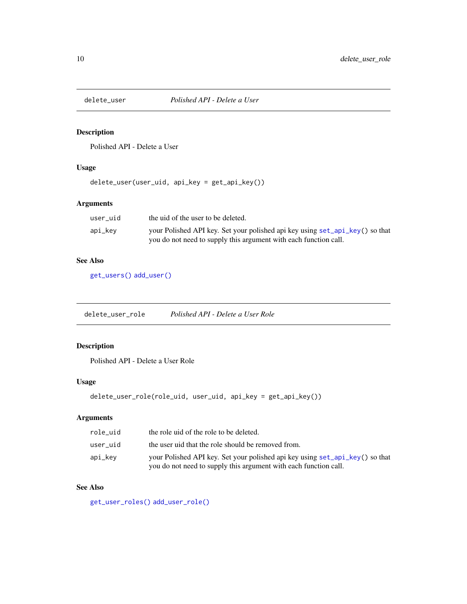<span id="page-9-1"></span><span id="page-9-0"></span>

Polished API - Delete a User

### Usage

delete\_user(user\_uid, api\_key = get\_api\_key())

### Arguments

| user uid | the uid of the user to be deleted.                                           |
|----------|------------------------------------------------------------------------------|
| api_kev  | your Polished API key. Set your polished api key using set_api_key() so that |
|          | you do not need to supply this argument with each function call.             |

### See Also

[get\\_users\(\)](#page-16-2) [add\\_user\(\)](#page-4-1)

<span id="page-9-2"></span>delete\_user\_role *Polished API - Delete a User Role*

### Description

Polished API - Delete a User Role

### Usage

```
delete_user_role(role_uid, user_uid, api_key = get_api_key())
```
### Arguments

| role uid | the role uid of the role to be deleted.                                                                                                          |
|----------|--------------------------------------------------------------------------------------------------------------------------------------------------|
| user uid | the user uid that the role should be removed from.                                                                                               |
| api_kev  | your Polished API key. Set your polished api key using set_api_key() so that<br>you do not need to supply this argument with each function call. |

### See Also

[get\\_user\\_roles\(\)](#page-17-1) [add\\_user\\_role\(\)](#page-4-2)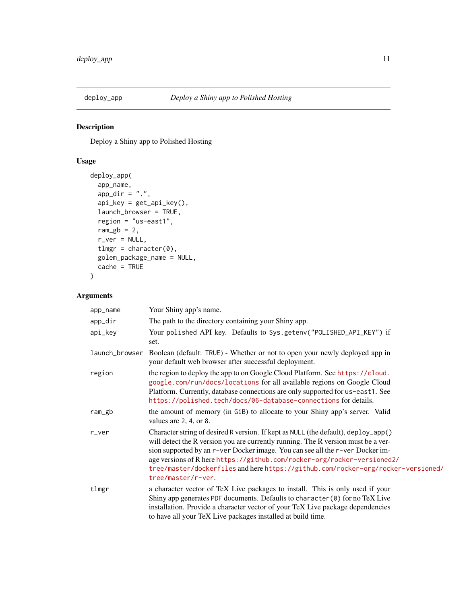<span id="page-10-0"></span>

Deploy a Shiny app to Polished Hosting

### Usage

```
deploy_app(
  app_name,
  app\_dir = "."api_key = get_api_key(),
 launch_browser = TRUE,
  region = "us-east1",
  ram\_gb = 2,
  r_ver = NULL,
  tlmgr = character(0),
 golem_package_name = NULL,
  cache = TRUE
)
```

| app_name       | Your Shiny app's name.                                                                                                                                                                                                                                                                                                                                                                                                                        |
|----------------|-----------------------------------------------------------------------------------------------------------------------------------------------------------------------------------------------------------------------------------------------------------------------------------------------------------------------------------------------------------------------------------------------------------------------------------------------|
| app_dir        | The path to the directory containing your Shiny app.                                                                                                                                                                                                                                                                                                                                                                                          |
| api_key        | Your polished API key. Defaults to Sys.getenv("POLISHED_API_KEY") if<br>set.                                                                                                                                                                                                                                                                                                                                                                  |
| launch_browser | Boolean (default: TRUE) - Whether or not to open your newly deployed app in<br>your default web browser after successful deployment.                                                                                                                                                                                                                                                                                                          |
| region         | the region to deploy the app to on Google Cloud Platform. See https://cloud.<br>google.com/run/docs/locations for all available regions on Google Cloud<br>Platform. Currently, database connections are only supported for us-east1. See<br>https://polished.tech/docs/06-database-connections for details.                                                                                                                                  |
| ram_gb         | the amount of memory (in GiB) to allocate to your Shiny app's server. Valid<br>values are 2, 4, or 8.                                                                                                                                                                                                                                                                                                                                         |
| r_ver          | Character string of desired R version. If kept as NULL (the default), deploy_app()<br>will detect the R version you are currently running. The R version must be a ver-<br>sion supported by an r-ver Docker image. You can see all the r-ver Docker im-<br>age versions of R here https://github.com/rocker-org/rocker-versioned2/<br>tree/master/dockerfiles and here https://github.com/rocker-org/rocker-versioned/<br>tree/master/r-ver. |
| tlmgr          | a character vector of TeX Live packages to install. This is only used if your<br>Shiny app generates PDF documents. Defaults to character (0) for no TeX Live<br>installation. Provide a character vector of your TeX Live package dependencies<br>to have all your TeX Live packages installed at build time.                                                                                                                                |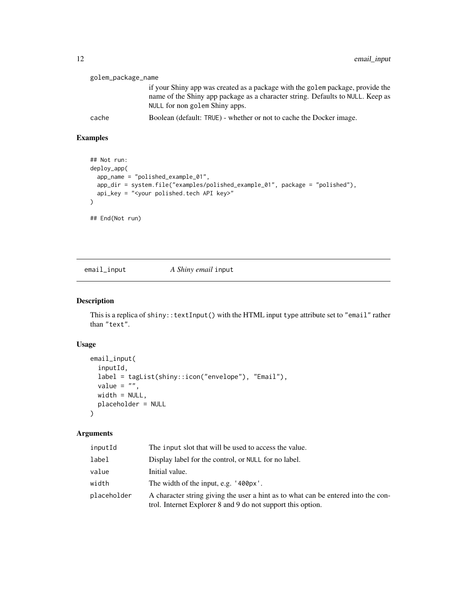<span id="page-11-0"></span>

| golem_package_name |                                                                                                                                                                                                    |
|--------------------|----------------------------------------------------------------------------------------------------------------------------------------------------------------------------------------------------|
|                    | if your Shiny app was created as a package with the golem package, provide the<br>name of the Shiny app package as a character string. Defaults to NULL. Keep as<br>NULL for non golem Shiny apps. |
| cache              | Boolean (default: TRUE) - whether or not to cache the Docker image.                                                                                                                                |

### Examples

```
## Not run:
deploy_app(
  app_name = "polished_example_01",
  app_dir = system.file("examples/polished_example_01", package = "polished"),
  api_key = "<your polished.tech API key>"
\lambda## End(Not run)
```
email\_input *A Shiny email* input

### Description

This is a replica of shiny::textInput() with the HTML input type attribute set to "email" rather than "text".

### Usage

```
email_input(
  inputId,
  label = tagList(shiny::icon("envelope"), "Email"),
  value = ",
 width = NULL,
 placeholder = NULL
\mathcal{L}
```

| inputId     | The input slot that will be used to access the value.                                                                                            |
|-------------|--------------------------------------------------------------------------------------------------------------------------------------------------|
| label       | Display label for the control, or NULL for no label.                                                                                             |
| value       | Initial value.                                                                                                                                   |
| width       | The width of the input, e.g. '400px'.                                                                                                            |
| placeholder | A character string giving the user a hint as to what can be entered into the con-<br>trol. Internet Explorer 8 and 9 do not support this option. |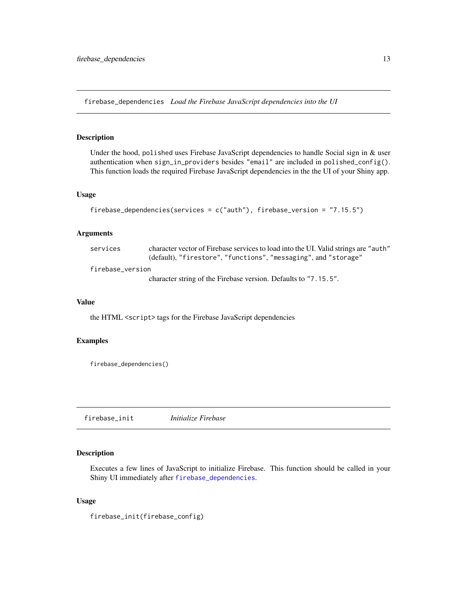<span id="page-12-1"></span><span id="page-12-0"></span>firebase\_dependencies *Load the Firebase JavaScript dependencies into the UI*

### Description

Under the hood, polished uses Firebase JavaScript dependencies to handle Social sign in & user authentication when sign\_in\_providers besides "email" are included in polished\_config(). This function loads the required Firebase JavaScript dependencies in the the UI of your Shiny app.

#### Usage

```
firebase_dependencies(services = c("auth"), firebase_version = "7.15.5")
```
#### Arguments

| services         | character vector of Firebase services to load into the UI. Valid strings are "auth" |
|------------------|-------------------------------------------------------------------------------------|
|                  | (default), "firestore", "functions", "messaging", and "storage"                     |
| firebase_version |                                                                                     |
|                  | character string of the Firebase version. Defaults to "7.15.5".                     |

#### Value

the HTML <script> tags for the Firebase JavaScript dependencies

### Examples

firebase\_dependencies()

firebase\_init *Initialize Firebase*

### Description

Executes a few lines of JavaScript to initialize Firebase. This function should be called in your Shiny UI immediately after [firebase\\_dependencies](#page-12-1).

#### Usage

firebase\_init(firebase\_config)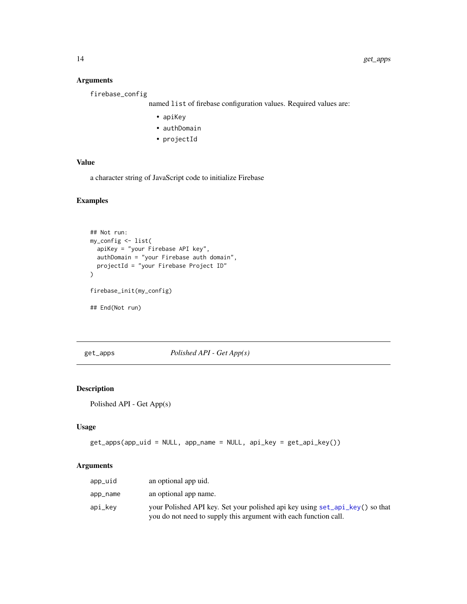### Arguments

firebase\_config

named list of firebase configuration values. Required values are:

- apiKey
- authDomain
- projectId

### Value

a character string of JavaScript code to initialize Firebase

### Examples

```
## Not run:
my_config <- list(
  apiKey = "your Firebase API key",
  authDomain = "your Firebase auth domain",
  projectId = "your Firebase Project ID"
\mathcal{L}firebase_init(my_config)
## End(Not run)
```
<span id="page-13-1"></span>get\_apps *Polished API - Get App(s)*

### Description

Polished API - Get App(s)

### Usage

```
get_apps(app_uid = NULL, app_name = NULL, api_key = get_api_key())
```

| app_uid  | an optional app uid.                                                                                                                             |
|----------|--------------------------------------------------------------------------------------------------------------------------------------------------|
| app_name | an optional app name.                                                                                                                            |
| api_kev  | your Polished API key. Set your polished api key using set_api_key() so that<br>you do not need to supply this argument with each function call. |

<span id="page-13-0"></span>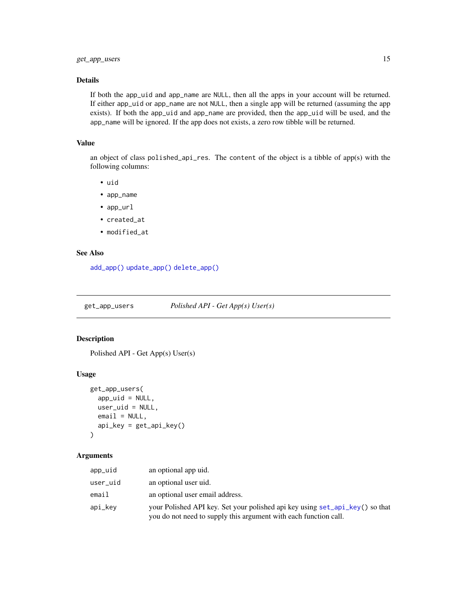### <span id="page-14-0"></span>Details

If both the app\_uid and app\_name are NULL, then all the apps in your account will be returned. If either app\_uid or app\_name are not NULL, then a single app will be returned (assuming the app exists). If both the app\_uid and app\_name are provided, then the app\_uid will be used, and the app\_name will be ignored. If the app does not exists, a zero row tibble will be returned.

#### Value

an object of class polished\_api\_res. The content of the object is a tibble of app(s) with the following columns:

- uid
- app\_name
- app\_url
- created\_at
- modified at

#### See Also

[add\\_app\(\)](#page-2-1) [update\\_app\(\)](#page-35-1) [delete\\_app\(\)](#page-7-1)

<span id="page-14-1"></span>get\_app\_users *Polished API - Get App(s) User(s)*

### Description

Polished API - Get App(s) User(s)

#### Usage

```
get_app_users(
  app\_uid = NULL,user_uid = NULL,
 email = NULL,api_key = get_api_key()
)
```

| app_uid  | an optional app uid.                                                                                                                             |
|----------|--------------------------------------------------------------------------------------------------------------------------------------------------|
| user_uid | an optional user uid.                                                                                                                            |
| email    | an optional user email address.                                                                                                                  |
| api_kev  | your Polished API key. Set your polished api key using set_api_key() so that<br>you do not need to supply this argument with each function call. |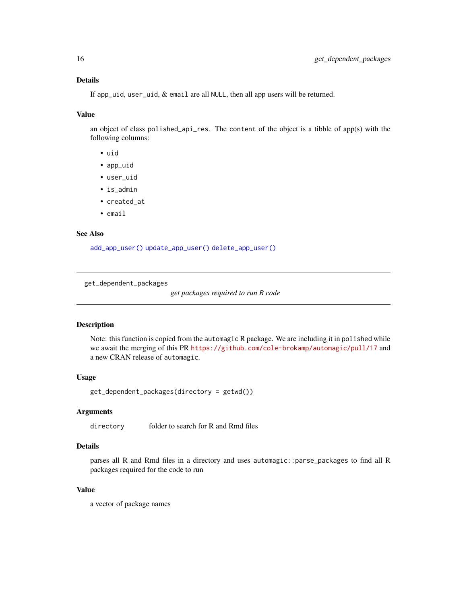### <span id="page-15-0"></span>Details

If app\_uid, user\_uid, & email are all NULL, then all app users will be returned.

#### Value

an object of class polished\_api\_res. The content of the object is a tibble of app(s) with the following columns:

- uid
- app\_uid
- user\_uid
- is\_admin
- created\_at
- email

#### See Also

[add\\_app\\_user\(\)](#page-2-2) [update\\_app\\_user\(\)](#page-36-1) [delete\\_app\\_user\(\)](#page-8-1)

get\_dependent\_packages

*get packages required to run R code*

### Description

Note: this function is copied from the automagic R package. We are including it in polished while we await the merging of this PR <https://github.com/cole-brokamp/automagic/pull/17> and a new CRAN release of automagic.

### Usage

get\_dependent\_packages(directory = getwd())

#### Arguments

directory folder to search for R and Rmd files

### Details

parses all R and Rmd files in a directory and uses automagic::parse\_packages to find all R packages required for the code to run

### Value

a vector of package names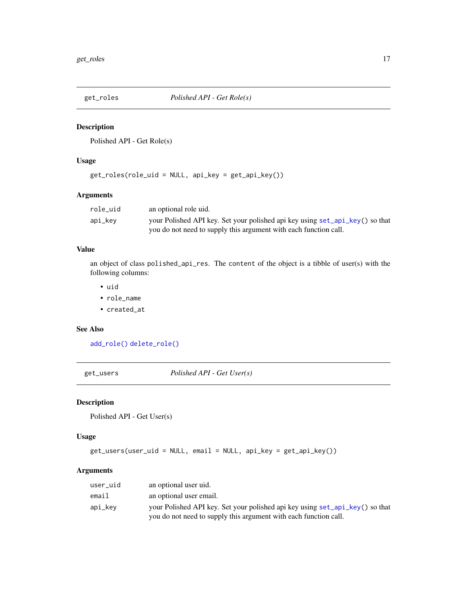<span id="page-16-1"></span><span id="page-16-0"></span>

Polished API - Get Role(s)

### Usage

get\_roles(role\_uid = NULL, api\_key = get\_api\_key())

#### Arguments

| role uid | an optional role uid.                                                        |
|----------|------------------------------------------------------------------------------|
| api_key  | your Polished API key. Set your polished api key using set_api_key() so that |
|          | you do not need to supply this argument with each function call.             |

### Value

an object of class polished\_api\_res. The content of the object is a tibble of user(s) with the following columns:

- uid
- role\_name
- created\_at

### See Also

[add\\_role\(\)](#page-3-1) [delete\\_role\(\)](#page-8-2)

<span id="page-16-2"></span>get\_users *Polished API - Get User(s)*

### Description

Polished API - Get User(s)

### Usage

```
get_users(user_uid = NULL, email = NULL, api_key = get_api_key())
```

| user_uid | an optional user uid.                                                        |
|----------|------------------------------------------------------------------------------|
| email    | an optional user email.                                                      |
| api_kev  | your Polished API key. Set your polished api key using set_api_key() so that |
|          | you do not need to supply this argument with each function call.             |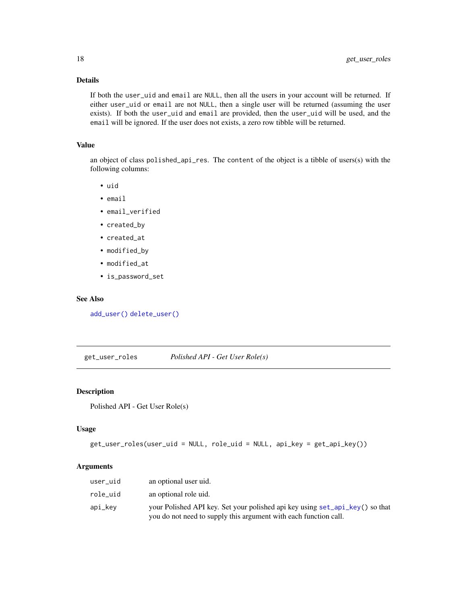### Details

If both the user\_uid and email are NULL, then all the users in your account will be returned. If either user\_uid or email are not NULL, then a single user will be returned (assuming the user exists). If both the user\_uid and email are provided, then the user\_uid will be used, and the email will be ignored. If the user does not exists, a zero row tibble will be returned.

#### Value

an object of class polished\_api\_res. The content of the object is a tibble of users(s) with the following columns:

- uid
- email
- email\_verified
- created\_by
- created\_at
- modified\_by
- modified\_at
- is\_password\_set

### See Also

[add\\_user\(\)](#page-4-1) [delete\\_user\(\)](#page-9-1)

<span id="page-17-1"></span>get\_user\_roles *Polished API - Get User Role(s)*

### Description

Polished API - Get User Role(s)

#### Usage

```
get_user_roles(user_uid = NULL, role_uid = NULL, api_key = get_api_key())
```

| user_uid | an optional user uid.                                                                                                                            |
|----------|--------------------------------------------------------------------------------------------------------------------------------------------------|
| role uid | an optional role uid.                                                                                                                            |
| api_kev  | your Polished API key. Set your polished api key using set_api_key() so that<br>you do not need to supply this argument with each function call. |

<span id="page-17-0"></span>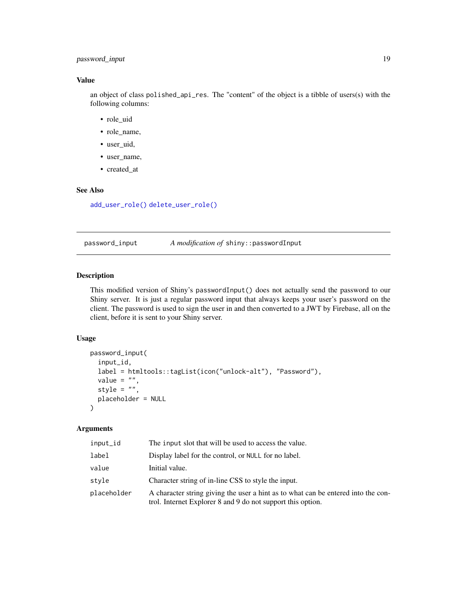### <span id="page-18-0"></span>password\_input 19

### Value

an object of class polished\_api\_res. The "content" of the object is a tibble of users(s) with the following columns:

- role\_uid
- role\_name,
- user\_uid,
- user name,
- created\_at

### See Also

[add\\_user\\_role\(\)](#page-4-2) [delete\\_user\\_role\(\)](#page-9-2)

password\_input *A modification of* shiny::passwordInput

#### Description

This modified version of Shiny's passwordInput() does not actually send the password to our Shiny server. It is just a regular password input that always keeps your user's password on the client. The password is used to sign the user in and then converted to a JWT by Firebase, all on the client, before it is sent to your Shiny server.

#### Usage

```
password_input(
  input_id,
  label = htmltools::tagList(icon("unlock-alt"), "Password"),
 value = ",
 style = ",
 placeholder = NULL
)
```

| input_id    | The input slot that will be used to access the value.                                                                                            |
|-------------|--------------------------------------------------------------------------------------------------------------------------------------------------|
| label       | Display label for the control, or NULL for no label.                                                                                             |
| value       | Initial value.                                                                                                                                   |
| style       | Character string of in-line CSS to style the input.                                                                                              |
| placeholder | A character string giving the user a hint as to what can be entered into the con-<br>trol. Internet Explorer 8 and 9 do not support this option. |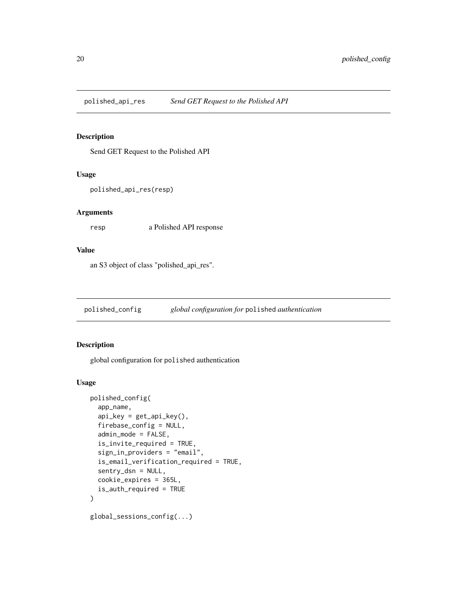<span id="page-19-0"></span>polished\_api\_res *Send GET Request to the Polished API*

#### Description

Send GET Request to the Polished API

#### Usage

polished\_api\_res(resp)

### Arguments

resp a Polished API response

### Value

an S3 object of class "polished\_api\_res".

<span id="page-19-1"></span>polished\_config *global configuration for* polished *authentication*

### Description

global configuration for polished authentication

#### Usage

```
polished_config(
  app_name,
  api\_key = get\_api\_key(),
  firebase_config = NULL,
  admin_mode = FALSE,
  is_invite_required = TRUE,
  sign_in_providers = "email",
  is_email_verification_required = TRUE,
  sentry_dsn = NULL,
  cookie_expires = 365L,
  is_auth_required = TRUE
)
global_sessions_config(...)
```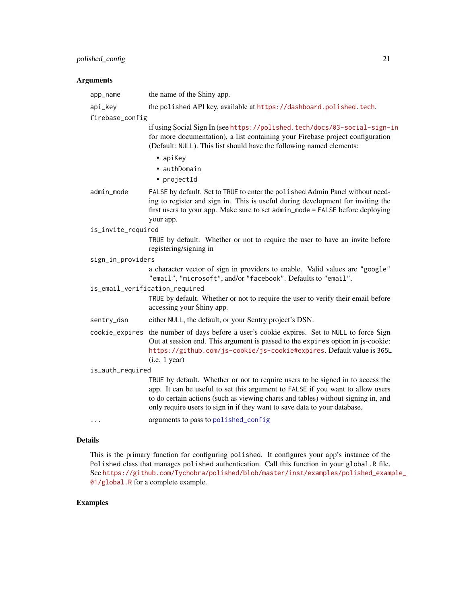### <span id="page-20-0"></span>polished\_config 21

### Arguments

| the name of the Shiny app.                                                                                                                                                                                                                                                                                                         |
|------------------------------------------------------------------------------------------------------------------------------------------------------------------------------------------------------------------------------------------------------------------------------------------------------------------------------------|
| the polished API key, available at https://dashboard.polished.tech.                                                                                                                                                                                                                                                                |
| firebase_config                                                                                                                                                                                                                                                                                                                    |
| if using Social Sign In (see https://polished.tech/docs/03-social-sign-in<br>for more documentation), a list containing your Firebase project configuration<br>(Default: NULL). This list should have the following named elements:                                                                                                |
| • apiKey<br>• authDomain<br>• projectId                                                                                                                                                                                                                                                                                            |
| FALSE by default. Set to TRUE to enter the polished Admin Panel without need-<br>ing to register and sign in. This is useful during development for inviting the<br>first users to your app. Make sure to set admin_mode = FALSE before deploying<br>your app.                                                                     |
| is_invite_required                                                                                                                                                                                                                                                                                                                 |
| TRUE by default. Whether or not to require the user to have an invite before<br>registering/signing in                                                                                                                                                                                                                             |
| sign_in_providers                                                                                                                                                                                                                                                                                                                  |
| a character vector of sign in providers to enable. Valid values are "google"<br>"email", "microsoft", and/or "facebook". Defaults to "email".                                                                                                                                                                                      |
| is_email_verification_required                                                                                                                                                                                                                                                                                                     |
| TRUE by default. Whether or not to require the user to verify their email before<br>accessing your Shiny app.                                                                                                                                                                                                                      |
| either NULL, the default, or your Sentry project's DSN.                                                                                                                                                                                                                                                                            |
| cookie_expires the number of days before a user's cookie expires. Set to NULL to force Sign<br>Out at session end. This argument is passed to the expires option in js-cookie:<br>https://github.com/js-cookie/js-cookie#expires. Default value is 365L<br>(i.e. 1 year)                                                           |
| is_auth_required                                                                                                                                                                                                                                                                                                                   |
| TRUE by default. Whether or not to require users to be signed in to access the<br>app. It can be useful to set this argument to FALSE if you want to allow users<br>to do certain actions (such as viewing charts and tables) without signing in, and<br>only require users to sign in if they want to save data to your database. |
| arguments to pass to polished_config                                                                                                                                                                                                                                                                                               |
|                                                                                                                                                                                                                                                                                                                                    |

### Details

This is the primary function for configuring polished. It configures your app's instance of the Polished class that manages polished authentication. Call this function in your global.R file. See [https://github.com/Tychobra/polished/blob/master/inst/examples/polished\\_exam](https://github.com/Tychobra/polished/blob/master/inst/examples/polished_example_01/global.R)ple\_ [01/global.R](https://github.com/Tychobra/polished/blob/master/inst/examples/polished_example_01/global.R) for a complete example.

### Examples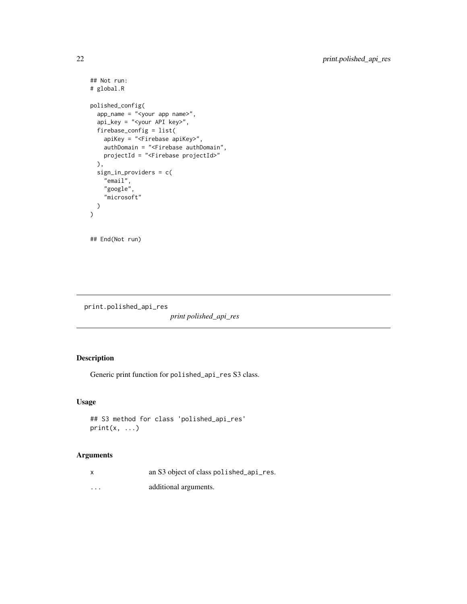```
## Not run:
# global.R
polished_config(
  app_name = "<your app name>",
  api_key = "<your API key>",
  firebase_config = list(
   apiKey = "<Firebase apiKey>",
   authDomain = "<Firebase authDomain",
   projectId = "<Firebase projectId>"
  ),
  sign_in_providers = c(
    "email",
    "google",
    "microsoft"
 )
)
## End(Not run)
```
print.polished\_api\_res

*print polished\_api\_res*

### Description

Generic print function for polished\_api\_res S3 class.

### Usage

```
## S3 method for class 'polished_api_res'
print(x, \ldots)
```

| X        | an S3 object of class polished_api_res. |
|----------|-----------------------------------------|
| $\cdots$ | additional arguments.                   |

<span id="page-21-0"></span>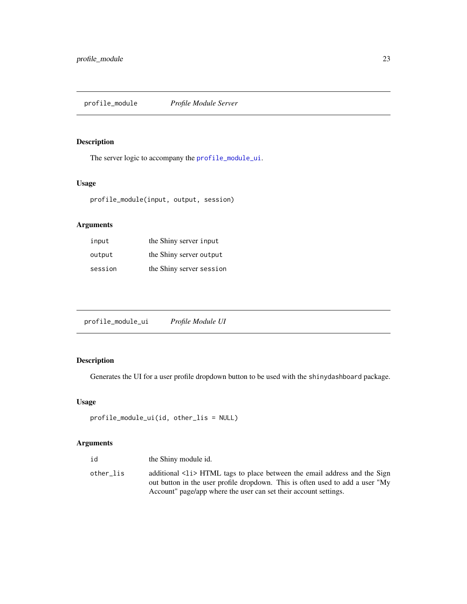<span id="page-22-0"></span>profile\_module *Profile Module Server*

### Description

The server logic to accompany the [profile\\_module\\_ui](#page-22-1).

### Usage

profile\_module(input, output, session)

### Arguments

| input   | the Shiny server input   |
|---------|--------------------------|
| output  | the Shiny server output  |
| session | the Shiny server session |

<span id="page-22-1"></span>

| profile_module_ui | Profile Module UI |
|-------------------|-------------------|
|                   |                   |

### Description

Generates the UI for a user profile dropdown button to be used with the shinydashboard package.

### Usage

```
profile_module_ui(id, other_lis = NULL)
```

| id        | the Shiny module id.                                                                                                                                       |
|-----------|------------------------------------------------------------------------------------------------------------------------------------------------------------|
| other lis | additional <12> HTML tags to place between the email address and the Sign<br>out button in the user profile dropdown. This is often used to add a user "My |
|           | Account" page/app where the user can set their account settings.                                                                                           |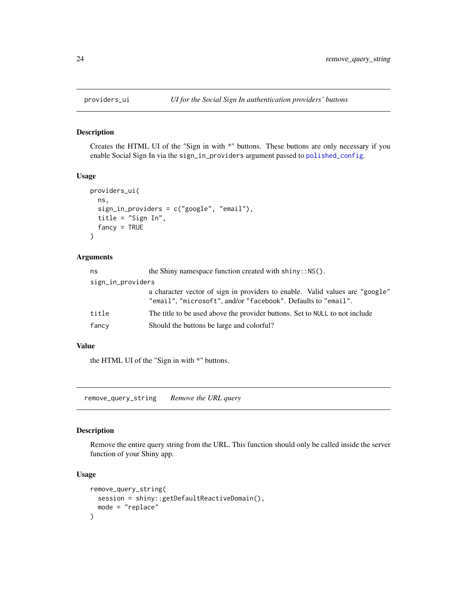<span id="page-23-0"></span>

Creates the HTML UI of the "Sign in with \*" buttons. These buttons are only necessary if you enable Social Sign In via the sign\_in\_providers argument passed to [polished\\_config](#page-19-1).

### Usage

```
providers_ui(
  ns,
  sign_in_providers = c("google", "email"),
  title = "Sign In",
  fancy = TRUE\mathcal{L}
```
#### Arguments

| ns                | the Shiny namespace function created with $\text{shiny}: \text{NS}()$ .                                                                       |
|-------------------|-----------------------------------------------------------------------------------------------------------------------------------------------|
| sign_in_providers |                                                                                                                                               |
|                   | a character vector of sign in providers to enable. Valid values are "google"<br>"email", "microsoft", and/or "facebook". Defaults to "email". |
| title             | The title to be used above the provider buttons. Set to NULL to not include                                                                   |
| fancy             | Should the buttons be large and colorful?                                                                                                     |

#### Value

the HTML UI of the "Sign in with \*" buttons.

remove\_query\_string *Remove the URL query*

#### Description

Remove the entire query string from the URL. This function should only be called inside the server function of your Shiny app.

### Usage

```
remove_query_string(
  session = shiny::getDefaultReactiveDomain(),
  mode = "replace"
\mathcal{L}
```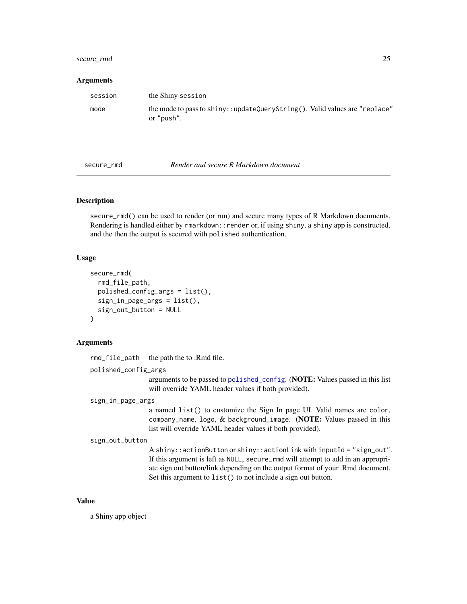### <span id="page-24-0"></span>secure\_rmd 25

#### **Arguments**

| session | the Shiny session                                                                        |
|---------|------------------------------------------------------------------------------------------|
| mode    | the mode to pass to shiny::updateQueryString(). Valid values are "replace"<br>or "push". |

secure\_rmd *Render and secure R Markdown document*

### **Description**

secure\_rmd() can be used to render (or run) and secure many types of R Markdown documents. Rendering is handled either by rmarkdown::render or, if using shiny, a shiny app is constructed, and the then the output is secured with polished authentication.

#### Usage

```
secure_rmd(
  rmd_file_path,
 polished_config_args = list(),
  sign_in_page_args = list(),
  sign_out_button = NULL
)
```
### Arguments

rmd\_file\_path the path the to .Rmd file.

```
polished_config_args
```
arguments to be passed to [polished\\_config](#page-19-1). (NOTE: Values passed in this list will override YAML header values if both provided).

#### sign\_in\_page\_args

a named list() to customize the Sign In page UI. Valid names are color, company\_name, logo, & background\_image. (NOTE: Values passed in this list will override YAML header values if both provided).

```
sign_out_button
```
A shiny::actionButton or shiny::actionLink with inputId = "sign\_out". If this argument is left as NULL, secure\_rmd will attempt to add in an appropriate sign out button/link depending on the output format of your .Rmd document. Set this argument to list() to not include a sign out button.

#### Value

a Shiny app object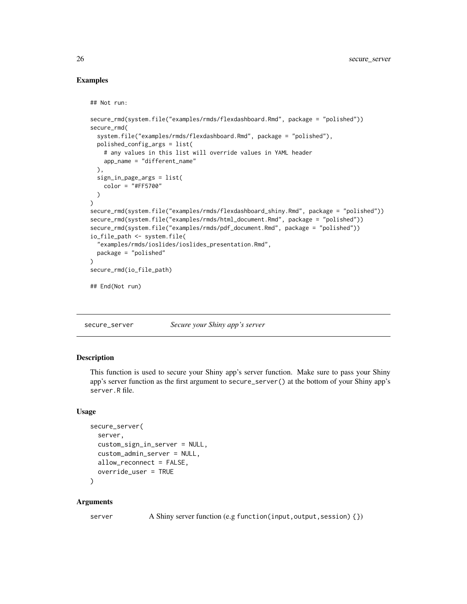#### Examples

```
## Not run:
secure_rmd(system.file("examples/rmds/flexdashboard.Rmd", package = "polished"))
secure_rmd(
 system.file("examples/rmds/flexdashboard.Rmd", package = "polished"),
 polished_config_args = list(
    # any values in this list will override values in YAML header
   app_name = "different_name"
 ),
 sign_in_page_args = list(
   color = "#FF5700"
 )
)
secure_rmd(system.file("examples/rmds/flexdashboard_shiny.Rmd", package = "polished"))
secure_rmd(system.file("examples/rmds/html_document.Rmd", package = "polished"))
secure_rmd(system.file("examples/rmds/pdf_document.Rmd", package = "polished"))
io_file_path <- system.file(
  "examples/rmds/ioslides/ioslides_presentation.Rmd",
 package = "polished"
)
secure_rmd(io_file_path)
## End(Not run)
```
<span id="page-25-1"></span>secure\_server *Secure your Shiny app's server*

#### Description

This function is used to secure your Shiny app's server function. Make sure to pass your Shiny app's server function as the first argument to secure\_server() at the bottom of your Shiny app's server.R file.

#### Usage

```
secure_server(
  server,
  custom_sign_in_server = NULL,
  custom_admin_server = NULL,
  allow_reconnect = FALSE,
 override_user = TRUE
```

```
)
```
### Arguments

server A Shiny server function (e.g function(input, output, session) {})

<span id="page-25-0"></span>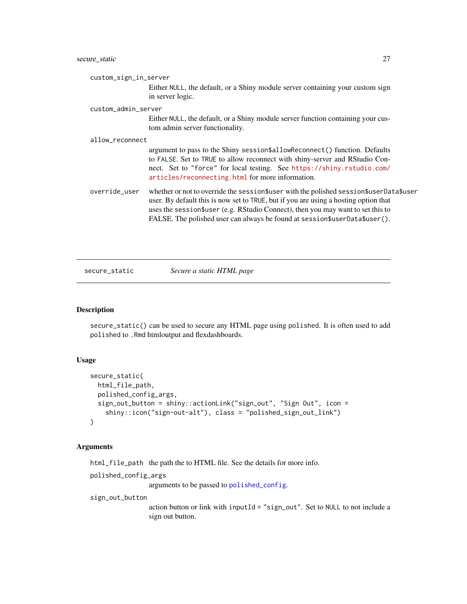<span id="page-26-0"></span>custom\_sign\_in\_server

Either NULL, the default, or a Shiny module server containing your custom sign in server logic.

#### custom\_admin\_server

Either NULL, the default, or a Shiny module server function containing your custom admin server functionality.

#### allow\_reconnect

argument to pass to the Shiny session\$allowReconnect() function. Defaults to FALSE. Set to TRUE to allow reconnect with shiny-server and RStudio Connect. Set to "force" for local testing. See [https://shiny.rstudio.com/](https://shiny.rstudio.com/articles/reconnecting.html) [articles/reconnecting.html](https://shiny.rstudio.com/articles/reconnecting.html) for more information.

```
override_user whether or not to override the session$user with the polished session$userData$user
                  user. By default this is now set to TRUE, but if you are using a hosting option that
                  uses the session$user (e.g. RStudio Connect), then you may want to set this to
                  FALSE. The polished user can always be found at session$userData$user().
```
secure\_static *Secure a static HTML page*

#### **Description**

secure\_static() can be used to secure any HTML page using polished. It is often used to add polished to .Rmd htmloutput and flexdashboards.

#### Usage

```
secure_static(
  html_file_path,
  polished_config_args,
  sign_out_button = shiny::actionLink("sign_out", "Sign Out", icon =
    shiny::icon("sign-out-alt"), class = "polished_sign_out_link")
)
```
#### Arguments

html\_file\_path the path the to HTML file. See the details for more info.

polished\_config\_args

arguments to be passed to [polished\\_config](#page-19-1).

sign\_out\_button

action button or link with inputId = "sign\_out". Set to NULL to not include a sign out button.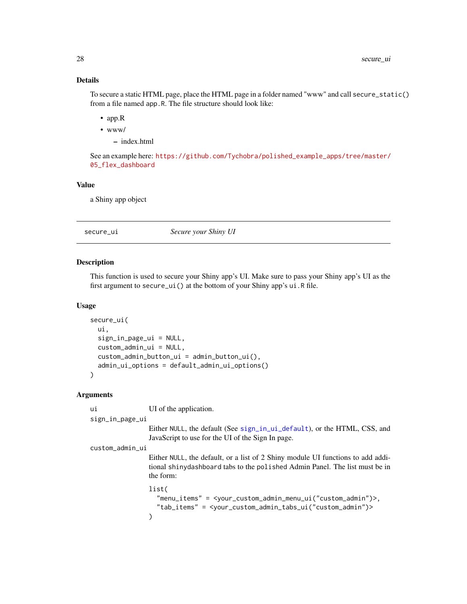### <span id="page-27-0"></span>Details

To secure a static HTML page, place the HTML page in a folder named "www" and call secure\_static() from a file named app.R. The file structure should look like:

- app.R
- www/
	- index.html

See an example here: [https://github.com/Tychobra/polished\\_example\\_apps/tree/master/](https://github.com/Tychobra/polished_example_apps/tree/master/05_flex_dashboard) [05\\_flex\\_dashboard](https://github.com/Tychobra/polished_example_apps/tree/master/05_flex_dashboard)

### Value

a Shiny app object

secure\_ui *Secure your Shiny UI*

#### Description

This function is used to secure your Shiny app's UI. Make sure to pass your Shiny app's UI as the first argument to secure\_ui() at the bottom of your Shiny app's ui.R file.

#### Usage

```
secure_ui(
 ui,
  sign_in_page_ui = NULL,
  custom_admin_ui = NULL,
  custom_admin_button_ui = admin_button_ui(),
  admin_ui_options = default_admin_ui_options()
)
```
#### Arguments

ui UI of the application.

sign\_in\_page\_ui

Either NULL, the default (See [sign\\_in\\_ui\\_default](#page-33-1)), or the HTML, CSS, and JavaScript to use for the UI of the Sign In page.

custom\_admin\_ui

Either NULL, the default, or a list of 2 Shiny module UI functions to add additional shinydashboard tabs to the polished Admin Panel. The list must be in the form:

list(

"menu\_items" = <your\_custom\_admin\_menu\_ui("custom\_admin")>, "tab\_items" = <your\_custom\_admin\_tabs\_ui("custom\_admin")> )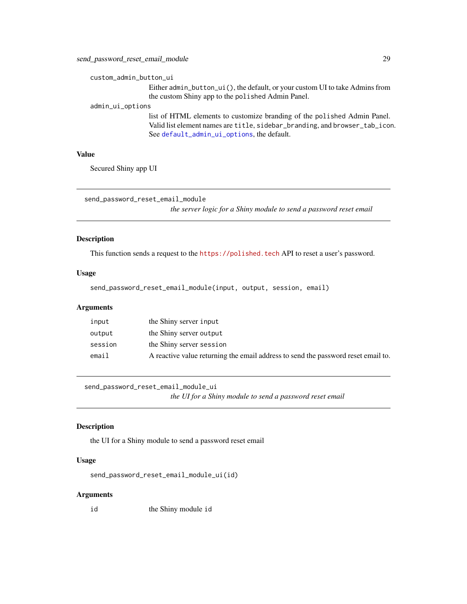```
custom_admin_button_ui
```
Either admin\_button\_ui(), the default, or your custom UI to take Admins from the custom Shiny app to the polished Admin Panel.

admin\_ui\_options

list of HTML elements to customize branding of the polished Admin Panel. Valid list element names are title, sidebar\_branding, and browser\_tab\_icon. See [default\\_admin\\_ui\\_options](#page-6-1), the default.

### Value

Secured Shiny app UI

send\_password\_reset\_email\_module

*the server logic for a Shiny module to send a password reset email*

### Description

This function sends a request to the <https://polished.tech> API to reset a user's password.

#### Usage

send\_password\_reset\_email\_module(input, output, session, email)

#### Arguments

| input   | the Shiny server input                                                            |
|---------|-----------------------------------------------------------------------------------|
| output  | the Shiny server output                                                           |
| session | the Shiny server session                                                          |
| email   | A reactive value returning the email address to send the password reset email to. |

send\_password\_reset\_email\_module\_ui

*the UI for a Shiny module to send a password reset email*

#### Description

the UI for a Shiny module to send a password reset email

#### Usage

```
send_password_reset_email_module_ui(id)
```
#### **Arguments**

id the Shiny module id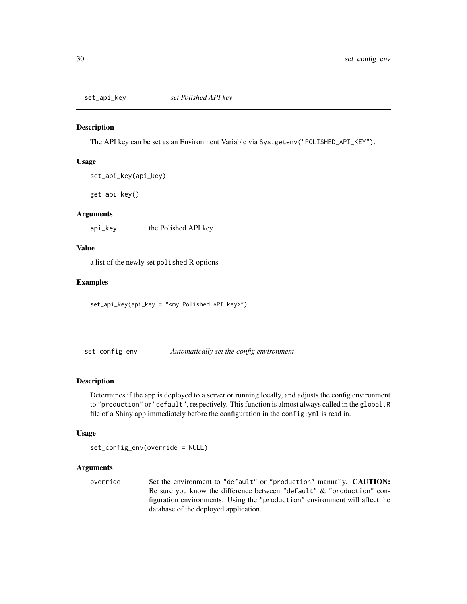<span id="page-29-1"></span><span id="page-29-0"></span>

The API key can be set as an Environment Variable via Sys.getenv("POLISHED\_API\_KEY").

#### Usage

```
set_api_key(api_key)
```
get\_api\_key()

### Arguments

api\_key the Polished API key

### Value

a list of the newly set polished R options

### Examples

set\_api\_key(api\_key = "<my Polished API key>")

set\_config\_env *Automatically set the config environment*

### Description

Determines if the app is deployed to a server or running locally, and adjusts the config environment to "production" or "default", respectively. This function is almost always called in the global.R file of a Shiny app immediately before the configuration in the config.yml is read in.

#### Usage

set\_config\_env(override = NULL)

### Arguments

override Set the environment to "default" or "production" manually. CAUTION: Be sure you know the difference between "default" & "production" configuration environments. Using the "production" environment will affect the database of the deployed application.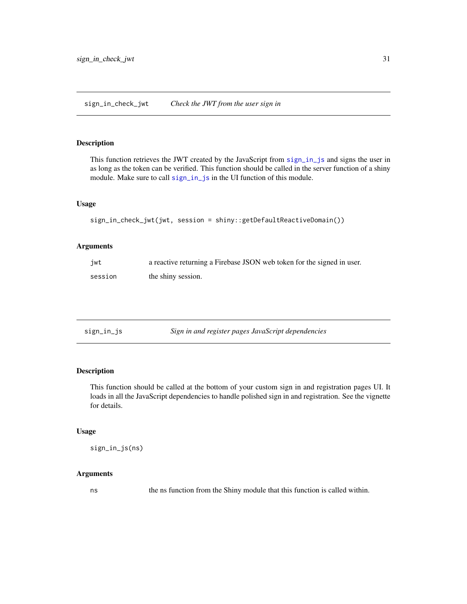<span id="page-30-0"></span>This function retrieves the JWT created by the JavaScript from [sign\\_in\\_js](#page-30-1) and signs the user in as long as the token can be verified. This function should be called in the server function of a shiny module. Make sure to call [sign\\_in\\_js](#page-30-1) in the UI function of this module.

#### Usage

```
sign_in_check_jwt(jwt, session = shiny::getDefaultReactiveDomain())
```
#### Arguments

| jwt     | a reactive returning a Firebase JSON web token for the signed in user. |
|---------|------------------------------------------------------------------------|
| session | the shiny session.                                                     |

<span id="page-30-1"></span>

| sign_in_js | Sign in and register pages JavaScript dependencies |
|------------|----------------------------------------------------|
|            |                                                    |

### Description

This function should be called at the bottom of your custom sign in and registration pages UI. It loads in all the JavaScript dependencies to handle polished sign in and registration. See the vignette for details.

### Usage

```
sign_in_js(ns)
```
### Arguments

ns the ns function from the Shiny module that this function is called within.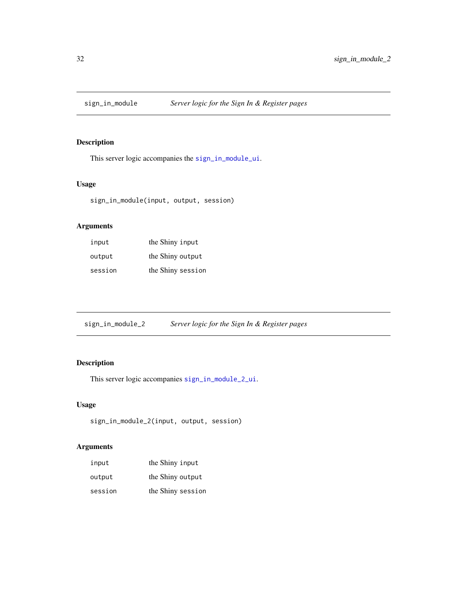<span id="page-31-0"></span>

This server logic accompanies the [sign\\_in\\_module\\_ui](#page-32-1).

### Usage

sign\_in\_module(input, output, session)

### Arguments

| input   | the Shiny input   |
|---------|-------------------|
| output  | the Shiny output  |
| session | the Shiny session |

<span id="page-31-1"></span>sign\_in\_module\_2 *Server logic for the Sign In & Register pages*

## Description

This server logic accompanies [sign\\_in\\_module\\_2\\_ui](#page-32-2).

### Usage

```
sign_in_module_2(input, output, session)
```

| input   | the Shiny input   |
|---------|-------------------|
| output  | the Shiny output  |
| session | the Shiny session |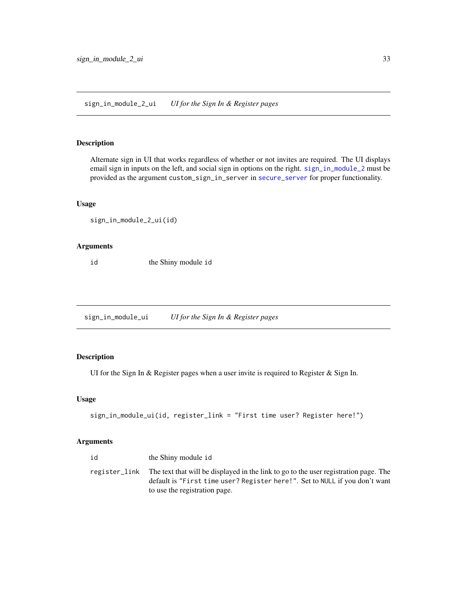<span id="page-32-2"></span><span id="page-32-0"></span>Alternate sign in UI that works regardless of whether or not invites are required. The UI displays email sign in inputs on the left, and social sign in options on the right. [sign\\_in\\_module\\_2](#page-31-1) must be provided as the argument custom\_sign\_in\_server in [secure\\_server](#page-25-1) for proper functionality.

#### Usage

sign\_in\_module\_2\_ui(id)

#### Arguments

id the Shiny module id

<span id="page-32-1"></span>sign\_in\_module\_ui *UI for the Sign In & Register pages*

### Description

UI for the Sign In & Register pages when a user invite is required to Register & Sign In.

### Usage

```
sign_in_module_ui(id, register_link = "First time user? Register here!")
```

| id | the Shiny module id                                                                                                                                                                                                |
|----|--------------------------------------------------------------------------------------------------------------------------------------------------------------------------------------------------------------------|
|    | register_link The text that will be displayed in the link to go to the user registration page. The<br>default is "First time user? Register here!". Set to NULL if you don't want<br>to use the registration page. |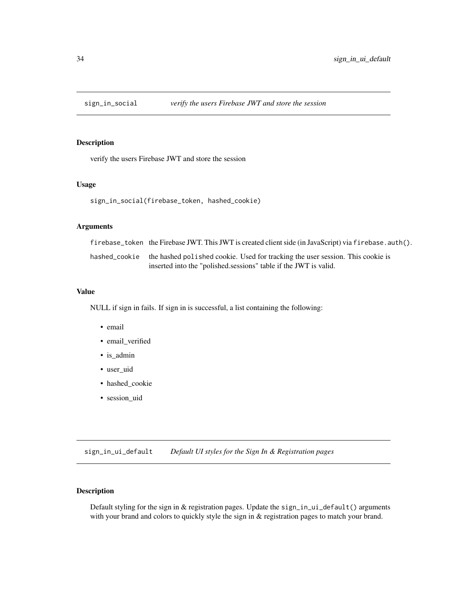<span id="page-33-0"></span>

verify the users Firebase JWT and store the session

### Usage

sign\_in\_social(firebase\_token, hashed\_cookie)

### Arguments

| firebase_token the Firebase JWT. This JWT is created client side (in JavaScript) via firebase. auth(). |
|--------------------------------------------------------------------------------------------------------|
| hashed_cookie the hashed polished cookie. Used for tracking the user session. This cookie is           |
| inserted into the "polished sessions" table if the JWT is valid.                                       |

#### Value

NULL if sign in fails. If sign in is successful, a list containing the following:

- email
- email\_verified
- is\_admin
- user\_uid
- hashed\_cookie
- session\_uid

<span id="page-33-1"></span>sign\_in\_ui\_default *Default UI styles for the Sign In & Registration pages*

### Description

Default styling for the sign in & registration pages. Update the sign\_in\_ui\_default() arguments with your brand and colors to quickly style the sign in  $&$  registration pages to match your brand.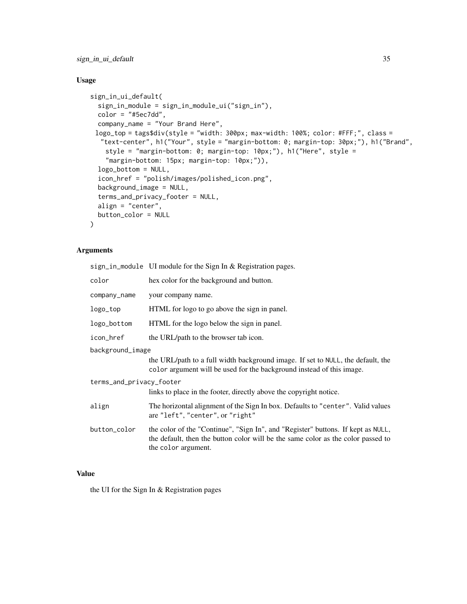sign\_in\_ui\_default 35

### Usage

```
sign_in_ui_default(
  sign_in_module = sign_in_module_ui("sign_in"),
  color = "#Sec7dd",company_name = "Your Brand Here",
 logo_top = tags$div(style = "width: 300px; max-width: 100%; color: #FFF;", class =
  "text-center", h1("Your", style = "margin-bottom: 0; margin-top: 30px;"), h1("Brand",
   style = "margin-bottom: 0; margin-top: 10px;"), h1("Here", style =
    "margin-bottom: 15px; margin-top: 10px;")),
  logo_bottom = NULL,
  icon_href = "polish/images/polished_icon.png",
  background_image = NULL,
  terms_and_privacy_footer = NULL,
  align = "center",
 button_color = NULL
\mathcal{L}
```
#### Arguments

sign\_in\_module UI module for the Sign In & Registration pages.

| color                    | hex color for the background and button.                                                                                                                             |
|--------------------------|----------------------------------------------------------------------------------------------------------------------------------------------------------------------|
| company_name             | your company name.                                                                                                                                                   |
| logo_top                 | HTML for logo to go above the sign in panel.                                                                                                                         |
| logo_bottom              | HTML for the logo below the sign in panel.                                                                                                                           |
| icon_href                | the URL/path to the browser tab icon.                                                                                                                                |
| background_image         |                                                                                                                                                                      |
|                          | the URL/path to a full width background image. If set to NULL, the default, the<br>color argument will be used for the background instead of this image.             |
| terms_and_privacy_footer |                                                                                                                                                                      |
|                          | links to place in the footer, directly above the copyright notice.                                                                                                   |
| align                    | The horizontal alignment of the Sign In box. Defaults to "center". Valid values<br>are "left", "center", or "right"                                                  |
| button_color             | the color of the "Continue", "Sign In", and "Register" buttons. If kept as NULL,<br>the default, then the button color will be the same color as the color passed to |

### Value

the UI for the Sign In & Registration pages

the color argument.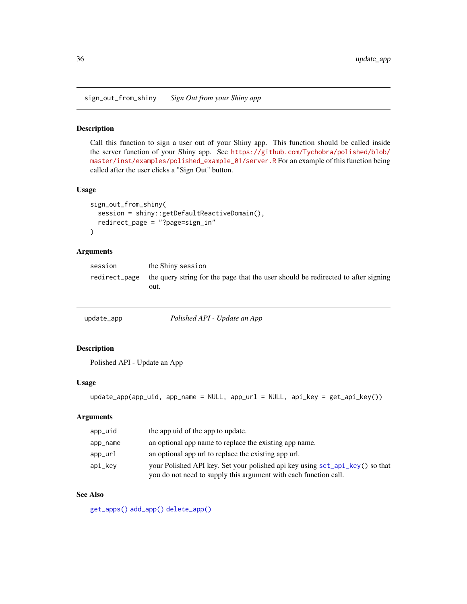<span id="page-35-0"></span>sign\_out\_from\_shiny *Sign Out from your Shiny app*

#### Description

Call this function to sign a user out of your Shiny app. This function should be called inside the server function of your Shiny app. See [https://github.com/Tychobra/polished/blob/](https://github.com/Tychobra/polished/blob/master/inst/examples/polished_example_01/server.R) [master/inst/examples/polished\\_example\\_01/server.R](https://github.com/Tychobra/polished/blob/master/inst/examples/polished_example_01/server.R) For an example of this function being called after the user clicks a "Sign Out" button.

### Usage

```
sign_out_from_shiny(
  session = shiny::getDefaultReactiveDomain(),
 redirect_page = "?page=sign_in"
\lambda
```
### Arguments

| session | the Shiny session                                                                                       |
|---------|---------------------------------------------------------------------------------------------------------|
|         | redirect_page the query string for the page that the user should be redirected to after signing<br>out. |

<span id="page-35-1"></span>

| update_app | Polished API - Update an App |
|------------|------------------------------|
|------------|------------------------------|

### Description

Polished API - Update an App

#### Usage

```
update_app(app_uid, app_name = NULL, app_url = NULL, api_key = get_api_key())
```
### Arguments

| app_uid  | the app uid of the app to update.                                                                                                                |
|----------|--------------------------------------------------------------------------------------------------------------------------------------------------|
| app_name | an optional app name to replace the existing app name.                                                                                           |
| app_url  | an optional app url to replace the existing app url.                                                                                             |
| api_kev  | your Polished API key. Set your polished api key using set_api_key() so that<br>you do not need to supply this argument with each function call. |

### See Also

[get\\_apps\(\)](#page-13-1) [add\\_app\(\)](#page-2-1) [delete\\_app\(\)](#page-7-1)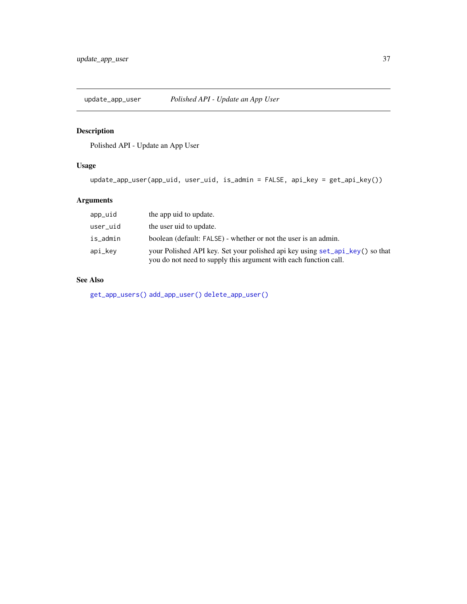<span id="page-36-1"></span><span id="page-36-0"></span>

Polished API - Update an App User

### Usage

update\_app\_user(app\_uid, user\_uid, is\_admin = FALSE, api\_key = get\_api\_key())

### Arguments

| app_uid  | the app uid to update.                                                                                                                           |
|----------|--------------------------------------------------------------------------------------------------------------------------------------------------|
| user_uid | the user uid to update.                                                                                                                          |
| is_admin | boolean (default: FALSE) - whether or not the user is an admin.                                                                                  |
| api_kev  | your Polished API key. Set your polished api key using set_api_key() so that<br>you do not need to supply this argument with each function call. |

### See Also

[get\\_app\\_users\(\)](#page-14-1) [add\\_app\\_user\(\)](#page-2-2) [delete\\_app\\_user\(\)](#page-8-1)